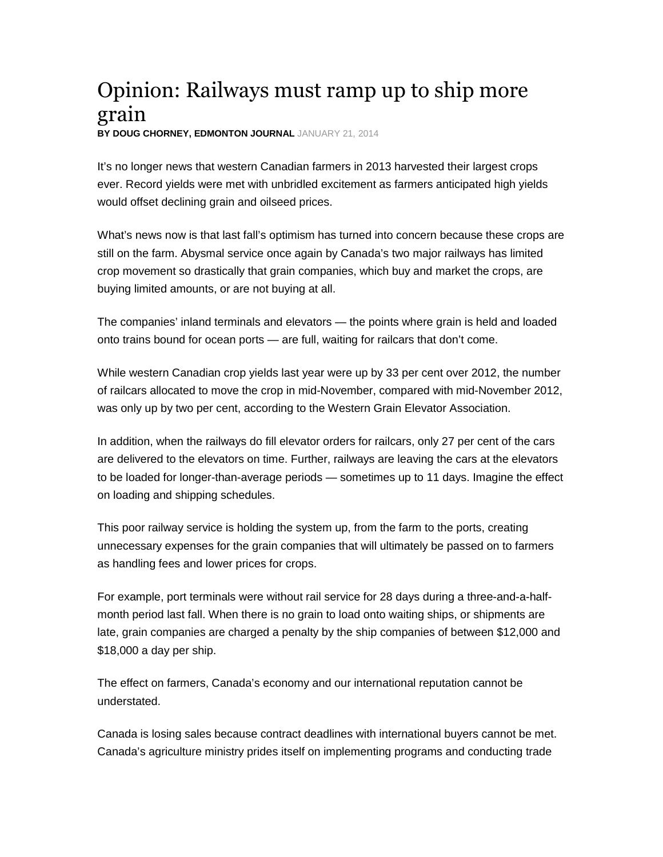## Opinion: Railways must ramp up to ship more grain

**BY DOUG CHORNEY, EDMONTON JOURNAL** JANUARY 21, 2014

It's no longer news that western Canadian farmers in 2013 harvested their largest crops ever. Record yields were met with unbridled excitement as farmers anticipated high yields would offset declining grain and oilseed prices.

What's news now is that last fall's optimism has turned into concern because these crops are still on the farm. Abysmal service once again by Canada's two major railways has limited crop movement so drastically that grain companies, which buy and market the crops, are buying limited amounts, or are not buying at all.

The companies' inland terminals and elevators — the points where grain is held and loaded onto trains bound for ocean ports — are full, waiting for railcars that don't come.

While western Canadian crop yields last year were up by 33 per cent over 2012, the number of railcars allocated to move the crop in mid-November, compared with mid-November 2012, was only up by two per cent, according to the Western Grain Elevator Association.

In addition, when the railways do fill elevator orders for railcars, only 27 per cent of the cars are delivered to the elevators on time. Further, railways are leaving the cars at the elevators to be loaded for longer-than-average periods — sometimes up to 11 days. Imagine the effect on loading and shipping schedules.

This poor railway service is holding the system up, from the farm to the ports, creating unnecessary expenses for the grain companies that will ultimately be passed on to farmers as handling fees and lower prices for crops.

For example, port terminals were without rail service for 28 days during a three-and-a-halfmonth period last fall. When there is no grain to load onto waiting ships, or shipments are late, grain companies are charged a penalty by the ship companies of between \$12,000 and \$18,000 a day per ship.

The effect on farmers, Canada's economy and our international reputation cannot be understated.

Canada is losing sales because contract deadlines with international buyers cannot be met. Canada's agriculture ministry prides itself on implementing programs and conducting trade